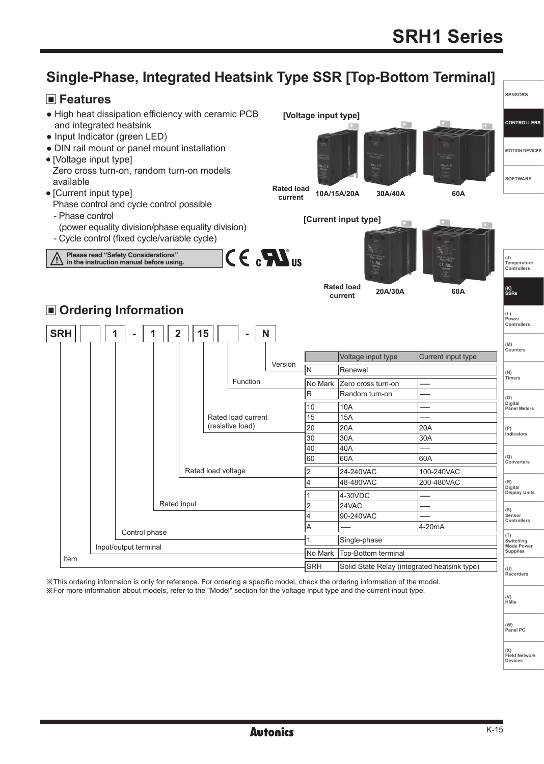**SENSORS**

**CONTROLLERS**

**MOTION DEVICES**

**SOFTWARE**

**(J) Temperature Controllers**

**(K) SSRs (L) Power Controllers**

**(M) Counters** 

**(N) Timers (O) Digital Panel Meters** 

**(P) Indicators**

**(Q) Converters**

**(R) Digital Display Units**

**(S) Sensor Controllers** 

**(T) Switching Mode Power Supplies** 

**(U) Recorders**

SRH Solid State Relay (integrated heatsink type)

# **Single-Phase, Integrated Heatsink Type SSR [Top-Bottom Terminal]**

## **Features**



※This ordering informaion is only for reference. For ordering a specific model, check the ordering information of the model. ※For more information about models, refer to the "Model" section for the voltage input type and the current input type.

**(V) HMIs**

**(W) Panel PC**

**(X)**

**Field Network Devices**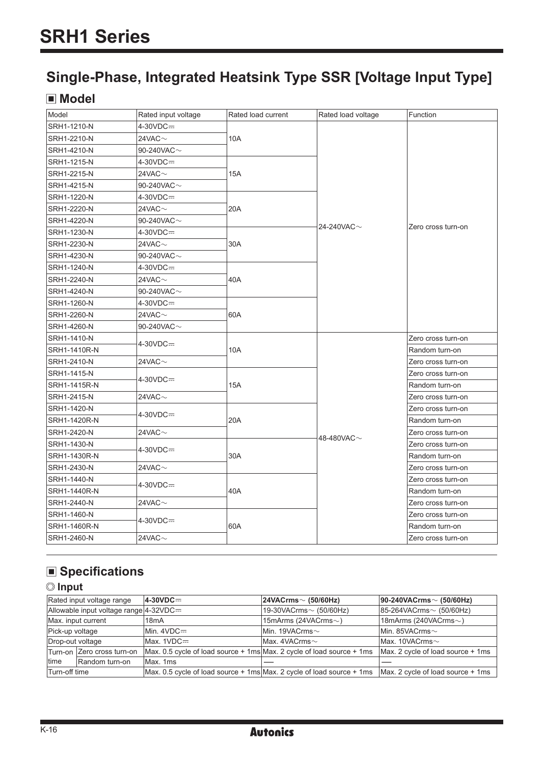# **Single-Phase, Integrated Heatsink Type SSR [Voltage Input Type]**

# **Model**

| Model        | Rated input voltage | Rated load current | Rated load voltage | Function           |  |
|--------------|---------------------|--------------------|--------------------|--------------------|--|
| SRH1-1210-N  | 4-30VDC=            |                    |                    |                    |  |
| SRH1-2210-N  | 24VAC $\sim$        | 10A                |                    |                    |  |
| SRH1-4210-N  | 90-240VAC $\sim$    |                    |                    |                    |  |
| SRH1-1215-N  | $4-30VDC =$         |                    |                    |                    |  |
| SRH1-2215-N  | 24VAC $\sim$        | <b>15A</b>         |                    |                    |  |
| SRH1-4215-N  | 90-240VAC $\sim$    |                    |                    |                    |  |
| SRH1-1220-N  | $4-30VDC =$         |                    |                    |                    |  |
| SRH1-2220-N  | 24VAC $\sim$        | 20A                |                    |                    |  |
| SRH1-4220-N  | 90-240VAC $\sim$    |                    | 24-240VAC $\sim$   | Zero cross turn-on |  |
| SRH1-1230-N  | $4-30VDC =$         |                    |                    |                    |  |
| SRH1-2230-N  | 24VAC $\sim$        | 30A                |                    |                    |  |
| SRH1-4230-N  | 90-240VAC $\sim$    |                    |                    |                    |  |
| SRH1-1240-N  | $4-30VDC =$         |                    |                    |                    |  |
| SRH1-2240-N  | 24VAC $\sim$        | 40A                |                    |                    |  |
| SRH1-4240-N  | 90-240VAC $\sim$    |                    |                    |                    |  |
| SRH1-1260-N  | $4-30VDC =$         |                    |                    |                    |  |
| SRH1-2260-N  | 24VAC $\sim$        | 60A                |                    |                    |  |
| SRH1-4260-N  | 90-240VAC $\sim$    |                    |                    |                    |  |
| SRH1-1410-N  | 4-30VDC=            |                    |                    | Zero cross turn-on |  |
| SRH1-1410R-N |                     | 10A                |                    | Random turn-on     |  |
| SRH1-2410-N  | 24VAC $\sim$        |                    |                    | Zero cross turn-on |  |
| SRH1-1415-N  | $4-30VDC =$         |                    |                    | Zero cross turn-on |  |
| SRH1-1415R-N |                     | 15A                |                    | Random turn-on     |  |
| SRH1-2415-N  | 24VAC $\sim$        |                    |                    | Zero cross turn-on |  |
| SRH1-1420-N  | $4-30VDC =$         |                    |                    | Zero cross turn-on |  |
| SRH1-1420R-N |                     | 20A                |                    | Random turn-on     |  |
| SRH1-2420-N  | 24VAC $\sim$        |                    | 48-480VAC $\sim$   | Zero cross turn-on |  |
| SRH1-1430-N  | $4-30VDC =$         |                    |                    | Zero cross turn-on |  |
| SRH1-1430R-N |                     | 30A                |                    | Random turn-on     |  |
| SRH1-2430-N  | 24VAC $\sim$        |                    |                    | Zero cross turn-on |  |
| SRH1-1440-N  | $4-30VDC =$         |                    |                    | Zero cross turn-on |  |
| SRH1-1440R-N |                     | 40A                |                    | Random turn-on     |  |
| SRH1-2440-N  | 24VAC $\sim$        |                    |                    | Zero cross turn-on |  |
| SRH1-1460-N  |                     |                    |                    | Zero cross turn-on |  |
| SRH1-1460R-N | 4-30VDC=            | 60A                |                    | Random turn-on     |  |
| SRH1-2460-N  | 24VAC $\sim$        |                    |                    | Zero cross turn-on |  |
|              |                     |                    |                    |                    |  |

# **Specifications**

## **Input**

|                  | Rated input voltage range                       | $4-30VDC =$                                                                                                                 | $ 24\text{VACrms} \sim (50/60\text{Hz})$ | $ 90-240VACrms \sim (50/60Hz)$      |
|------------------|-------------------------------------------------|-----------------------------------------------------------------------------------------------------------------------------|------------------------------------------|-------------------------------------|
|                  | Allowable input voltage range $ 4-32\nabla$ DC= |                                                                                                                             | $19-30VACrms \sim (50/60Hz)$             | $ 85-264VACrms \sim (50/60Hz)$      |
|                  | Max. input current                              | 18 <sub>m</sub> A                                                                                                           | 15mArms (24VACrms $\sim$ )               | 18mArms (240VACrms $\sim$ )         |
| Pick-up voltage  |                                                 | $Min. 4VDC =$                                                                                                               | Min. 19VACrms <sub>2</sub>               | Min. 85VACrms $\sim$                |
| Drop-out voltage |                                                 | $Max. 1VDC = 0$                                                                                                             | Max. 4VACrms <sub>2</sub>                | Max. 10VACrms <sub>2</sub>          |
|                  | Turn-on Zero cross turn-on                      | $\text{Max. } 0.5$ cycle of load source + 1ms Max. 2 cycle of load source + 1ms                                             |                                          | $Max. 2 cycle of load source + 1ms$ |
| Itime            | Random turn-on                                  | Max. 1ms                                                                                                                    |                                          |                                     |
| Turn-off time    |                                                 | $\text{Max. } 0.5$ cycle of load source + 1ms Max. 2 cycle of load source + 1ms $\text{Max. } 2$ cycle of load source + 1ms |                                          |                                     |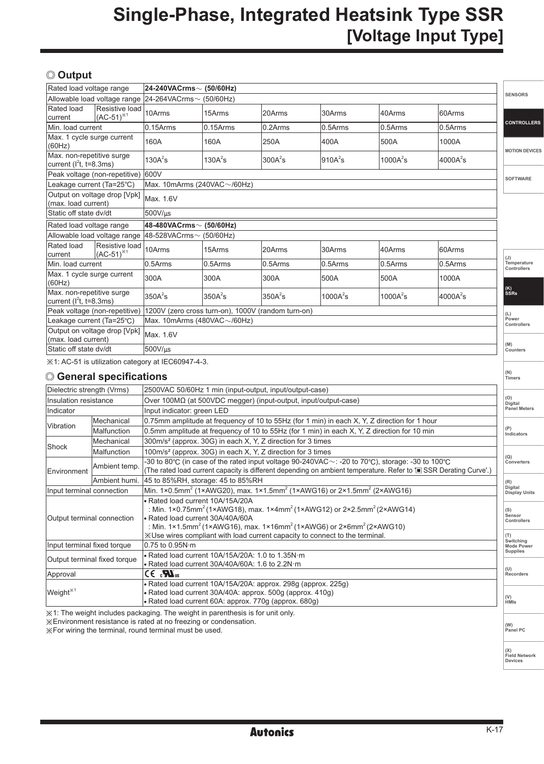# **Single-Phase, Integrated Heatsink Type SSR [Voltage Input Type]**

## **Output**

| Rated load voltage range                                                            |                                  | 24-240VACrms~ (50/60Hz)            |                                    |             |              |              |             | <b>SENSORS</b>             |
|-------------------------------------------------------------------------------------|----------------------------------|------------------------------------|------------------------------------|-------------|--------------|--------------|-------------|----------------------------|
|                                                                                     | Allowable load voltage range     | $24-264VACrms0$ (50/60Hz)          |                                    |             |              |              |             |                            |
| Rated load<br>current                                                               | Resistive load<br>$(AC-51)^{1}$  | 10Arms                             | 15Arms                             | 20Arms      | 30Arms       | 40Arms       | 60Arms      |                            |
| Min. load current                                                                   |                                  | $0.15$ Arms                        | $0.15$ Arms                        | $0.2$ Arms  | 0.5Arms      | $0.5$ Arms   | 0.5Arms     | <b>CONTROLLERS</b>         |
| Max. 1 cycle surge current<br>(60Hz)                                                |                                  | 160A                               | 160A                               | 250A        | 400A         | 500A         | 1000A       | <b>MOTION DEVICES</b>      |
| Max. non-repetitive surge<br>current ( $l^2$ t, t=8.3ms)                            |                                  | $130A^2s$                          | 130A <sup>2</sup> s                | $300A^2s$   | $910A^2s$    | 1000 $A^2$ s | $4000A^2$ s |                            |
|                                                                                     | Peak voltage (non-repetitive)    | 600V                               |                                    |             |              |              |             | <b>SOFTWARE</b>            |
| Leakage current (Ta=25°C)                                                           |                                  | Max. 10mArms (240VAC $\sim$ /60Hz) |                                    |             |              |              |             |                            |
| (max. load current)                                                                 | Output on voltage drop [Vpk]     | Max. 1.6V                          |                                    |             |              |              |             |                            |
| Static off state dv/dt                                                              |                                  | 500V/us                            |                                    |             |              |              |             |                            |
| Rated load voltage range                                                            |                                  | $48-480VACrms \sim (50/60Hz)$      |                                    |             |              |              |             |                            |
|                                                                                     | Allowable load voltage range     | 48-528VACrms $\sim$ (50/60Hz)      |                                    |             |              |              |             |                            |
| Rated load<br>current                                                               | Resistive load<br>$(AC-51)^{*1}$ | 10Arms                             | 15Arms                             | 20Arms      | 30Arms       | 40Arms       | 60Arms      | (J)                        |
| Min. load current                                                                   |                                  | 0.5Arms                            | 0.5Arms                            | 0.5Arms     | 0.5Arms      | 0.5Arms      | $0.5$ Arms  | Temperature<br>Controllers |
| Max. 1 cycle surge current<br>(60Hz)                                                |                                  | 300A                               | 300A                               | 300A        | 500A         | 500A         | 1000A       |                            |
| Max. non-repetitive surge<br>$current (l2t. t=8.3ms)$                               |                                  | 350A <sup>2</sup> s                | 350A <sup>2</sup> s                | $350A^2s$   | 1000 $A^2$ s | 1000 $A^2$ s | $4000A^2$ s | $\vert$ (K)<br>SSRs        |
| 1200V (zero cross turn-on), 1000V (random turn-on)<br>Peak voltage (non-repetitive) |                                  |                                    |                                    |             | (L)          |              |             |                            |
| Leakage current (Ta=25°C)                                                           |                                  |                                    | Max. 10mArms (480VAC $\sim$ /60Hz) |             |              |              |             |                            |
| Output on voltage drop [Vpk]<br>Max. 1.6V<br>(max. load current)                    |                                  |                                    |                                    | Controllers |              |              |             |                            |
| Static off state dv/dt                                                              |                                  | 500V/us                            |                                    |             |              |              |             | (M)<br>Counters            |
|                                                                                     |                                  |                                    |                                    |             |              |              |             |                            |

※1: AC-51 is utilization category at IEC60947-4-3.

## **General specifications**

| Dielectric strength (Vrms)<br>2500VAC 50/60Hz 1 min (input-output, input/output-case)<br>(O)<br>Insulation resistance<br>Over 100MΩ (at 500VDC megger) (input-output, input/output-case)<br>Digital<br><b>Panel Meters</b><br>Input indicator: green LED<br>Indicator<br>Mechanical<br>0.75mm amplitude at frequency of 10 to 55Hz (for 1 min) in each X, Y, Z direction for 1 hour<br>Vibration<br>(P)<br>0.5mm amplitude at frequency of 10 to 55Hz (for 1 min) in each X, Y, Z direction for 10 min<br>Malfunction<br>Indicators<br>300m/s <sup>2</sup> (approx. 30G) in each X, Y, Z direction for 3 times<br>Mechanical<br>Shock<br>100m/s <sup>2</sup> (approx. 30G) in each X, Y, Z direction for 3 times<br>Malfunction<br>(Q)<br>-30 to 80°C (in case of the rated input voltage 90-240VAC $\sim$ : -20 to 70°C), storage: -30 to 100°C<br>Converters<br>Ambient temp.<br>(The rated load current capacity is different depending on ambient temperature. Refer to I SSR Derating Curve'.)<br>Environment<br>45 to 85%RH, storage: 45 to 85%RH<br>Ambient humi.<br>(R)<br>Digital<br>Min. 1×0.5mm <sup>2</sup> (1×AWG20), max. 1×1.5mm <sup>2</sup> (1×AWG16) or 2×1.5mm <sup>2</sup> (2×AWG16)<br>Input terminal connection<br><b>Display Units</b><br>• Rated load current 10A/15A/20A<br>: Min. 1×0.75mm <sup>2</sup> (1×AWG18), max. 1×4mm <sup>2</sup> (1×AWG12) or 2×2.5mm <sup>2</sup> (2×AWG14)<br>(S)<br>Sensor<br>Rated load current 30A/40A/60A<br>Output terminal connection<br>: Min. 1×1.5mm <sup>2</sup> (1×AWG16), max. 1×16mm <sup>2</sup> (1×AWG6) or 2×6mm <sup>2</sup> (2×AWG10)<br>X Use wires compliant with load current capacity to connect to the terminal.<br>(T)<br>Switching<br>Input terminal fixed torque<br>$0.75$ to $0.95N·m$<br><b>Supplies</b><br>$\cdot$ Rated load current 10A/15A/20A: 1.0 to 1.35N $\cdot$ m<br>Output terminal fixed torque<br>$\bullet$ Rated load current 30A/40A/60A: 1.6 to 2.2N $\cdot$ m<br>(U)<br>$CE$ $\mathbf{M}_{us}$<br>Approval<br>• Rated load current 10A/15A/20A: approx. 298g (approx. 225g)<br>Weight <sup>*1</sup><br>• Rated load current 30A/40A: approx. 500g (approx. 410g)<br>(V)<br>• Rated load current 60A: approx. 770g (approx. 680g)<br><b>HMIs</b> |  | © General specifications |  | (N)<br><b>Timers</b> |  |  |  |  |
|---------------------------------------------------------------------------------------------------------------------------------------------------------------------------------------------------------------------------------------------------------------------------------------------------------------------------------------------------------------------------------------------------------------------------------------------------------------------------------------------------------------------------------------------------------------------------------------------------------------------------------------------------------------------------------------------------------------------------------------------------------------------------------------------------------------------------------------------------------------------------------------------------------------------------------------------------------------------------------------------------------------------------------------------------------------------------------------------------------------------------------------------------------------------------------------------------------------------------------------------------------------------------------------------------------------------------------------------------------------------------------------------------------------------------------------------------------------------------------------------------------------------------------------------------------------------------------------------------------------------------------------------------------------------------------------------------------------------------------------------------------------------------------------------------------------------------------------------------------------------------------------------------------------------------------------------------------------------------------------------------------------------------------------------------------------------------------------------------------------------------------------------------------------------------------------------------------------------------------------------------|--|--------------------------|--|----------------------|--|--|--|--|
|                                                                                                                                                                                                                                                                                                                                                                                                                                                                                                                                                                                                                                                                                                                                                                                                                                                                                                                                                                                                                                                                                                                                                                                                                                                                                                                                                                                                                                                                                                                                                                                                                                                                                                                                                                                                                                                                                                                                                                                                                                                                                                                                                                                                                                                   |  |                          |  |                      |  |  |  |  |
|                                                                                                                                                                                                                                                                                                                                                                                                                                                                                                                                                                                                                                                                                                                                                                                                                                                                                                                                                                                                                                                                                                                                                                                                                                                                                                                                                                                                                                                                                                                                                                                                                                                                                                                                                                                                                                                                                                                                                                                                                                                                                                                                                                                                                                                   |  |                          |  |                      |  |  |  |  |
|                                                                                                                                                                                                                                                                                                                                                                                                                                                                                                                                                                                                                                                                                                                                                                                                                                                                                                                                                                                                                                                                                                                                                                                                                                                                                                                                                                                                                                                                                                                                                                                                                                                                                                                                                                                                                                                                                                                                                                                                                                                                                                                                                                                                                                                   |  |                          |  |                      |  |  |  |  |
|                                                                                                                                                                                                                                                                                                                                                                                                                                                                                                                                                                                                                                                                                                                                                                                                                                                                                                                                                                                                                                                                                                                                                                                                                                                                                                                                                                                                                                                                                                                                                                                                                                                                                                                                                                                                                                                                                                                                                                                                                                                                                                                                                                                                                                                   |  |                          |  |                      |  |  |  |  |
|                                                                                                                                                                                                                                                                                                                                                                                                                                                                                                                                                                                                                                                                                                                                                                                                                                                                                                                                                                                                                                                                                                                                                                                                                                                                                                                                                                                                                                                                                                                                                                                                                                                                                                                                                                                                                                                                                                                                                                                                                                                                                                                                                                                                                                                   |  |                          |  |                      |  |  |  |  |
|                                                                                                                                                                                                                                                                                                                                                                                                                                                                                                                                                                                                                                                                                                                                                                                                                                                                                                                                                                                                                                                                                                                                                                                                                                                                                                                                                                                                                                                                                                                                                                                                                                                                                                                                                                                                                                                                                                                                                                                                                                                                                                                                                                                                                                                   |  |                          |  |                      |  |  |  |  |
|                                                                                                                                                                                                                                                                                                                                                                                                                                                                                                                                                                                                                                                                                                                                                                                                                                                                                                                                                                                                                                                                                                                                                                                                                                                                                                                                                                                                                                                                                                                                                                                                                                                                                                                                                                                                                                                                                                                                                                                                                                                                                                                                                                                                                                                   |  |                          |  |                      |  |  |  |  |
|                                                                                                                                                                                                                                                                                                                                                                                                                                                                                                                                                                                                                                                                                                                                                                                                                                                                                                                                                                                                                                                                                                                                                                                                                                                                                                                                                                                                                                                                                                                                                                                                                                                                                                                                                                                                                                                                                                                                                                                                                                                                                                                                                                                                                                                   |  |                          |  |                      |  |  |  |  |
|                                                                                                                                                                                                                                                                                                                                                                                                                                                                                                                                                                                                                                                                                                                                                                                                                                                                                                                                                                                                                                                                                                                                                                                                                                                                                                                                                                                                                                                                                                                                                                                                                                                                                                                                                                                                                                                                                                                                                                                                                                                                                                                                                                                                                                                   |  |                          |  |                      |  |  |  |  |
|                                                                                                                                                                                                                                                                                                                                                                                                                                                                                                                                                                                                                                                                                                                                                                                                                                                                                                                                                                                                                                                                                                                                                                                                                                                                                                                                                                                                                                                                                                                                                                                                                                                                                                                                                                                                                                                                                                                                                                                                                                                                                                                                                                                                                                                   |  |                          |  |                      |  |  |  |  |
|                                                                                                                                                                                                                                                                                                                                                                                                                                                                                                                                                                                                                                                                                                                                                                                                                                                                                                                                                                                                                                                                                                                                                                                                                                                                                                                                                                                                                                                                                                                                                                                                                                                                                                                                                                                                                                                                                                                                                                                                                                                                                                                                                                                                                                                   |  |                          |  | Controllers          |  |  |  |  |
|                                                                                                                                                                                                                                                                                                                                                                                                                                                                                                                                                                                                                                                                                                                                                                                                                                                                                                                                                                                                                                                                                                                                                                                                                                                                                                                                                                                                                                                                                                                                                                                                                                                                                                                                                                                                                                                                                                                                                                                                                                                                                                                                                                                                                                                   |  |                          |  |                      |  |  |  |  |
|                                                                                                                                                                                                                                                                                                                                                                                                                                                                                                                                                                                                                                                                                                                                                                                                                                                                                                                                                                                                                                                                                                                                                                                                                                                                                                                                                                                                                                                                                                                                                                                                                                                                                                                                                                                                                                                                                                                                                                                                                                                                                                                                                                                                                                                   |  |                          |  | Mode Power           |  |  |  |  |
|                                                                                                                                                                                                                                                                                                                                                                                                                                                                                                                                                                                                                                                                                                                                                                                                                                                                                                                                                                                                                                                                                                                                                                                                                                                                                                                                                                                                                                                                                                                                                                                                                                                                                                                                                                                                                                                                                                                                                                                                                                                                                                                                                                                                                                                   |  |                          |  |                      |  |  |  |  |
|                                                                                                                                                                                                                                                                                                                                                                                                                                                                                                                                                                                                                                                                                                                                                                                                                                                                                                                                                                                                                                                                                                                                                                                                                                                                                                                                                                                                                                                                                                                                                                                                                                                                                                                                                                                                                                                                                                                                                                                                                                                                                                                                                                                                                                                   |  |                          |  | Recorders            |  |  |  |  |
|                                                                                                                                                                                                                                                                                                                                                                                                                                                                                                                                                                                                                                                                                                                                                                                                                                                                                                                                                                                                                                                                                                                                                                                                                                                                                                                                                                                                                                                                                                                                                                                                                                                                                                                                                                                                                                                                                                                                                                                                                                                                                                                                                                                                                                                   |  |                          |  |                      |  |  |  |  |

※1: The weight includes packaging. The weight in parenthesis is for unit only.

※Environment resistance is rated at no freezing or condensation.

※For wiring the terminal, round terminal must be used.

**(W) Panel PC**

**(X) Field Network Devices**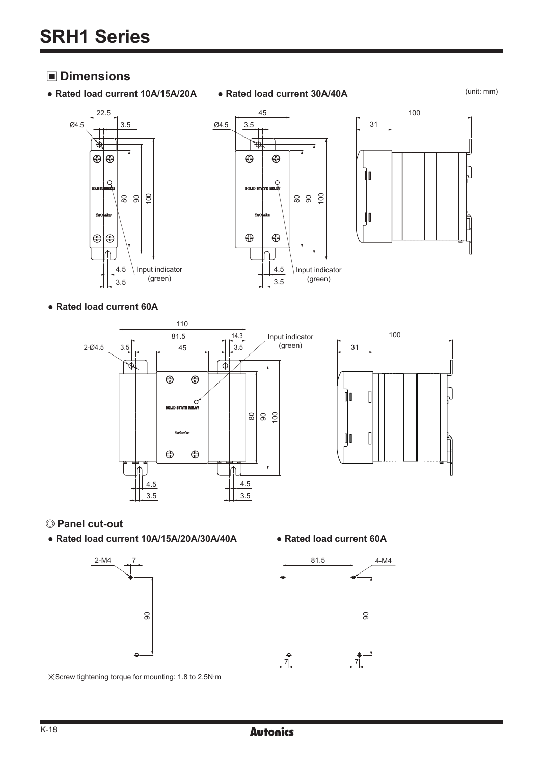## **Dimensions**

- **Rated load current 10A/15A/20A Rated load current 30A/40A**
- 

(unit: mm)







### **● Rated load current 60A**





## **Panel cut-out**

**● Rated load current 10A/15A/20A/30A/40A ● Rated load current 60A**





※Screw tightening torque for mounting: 1.8 to 2.5N.m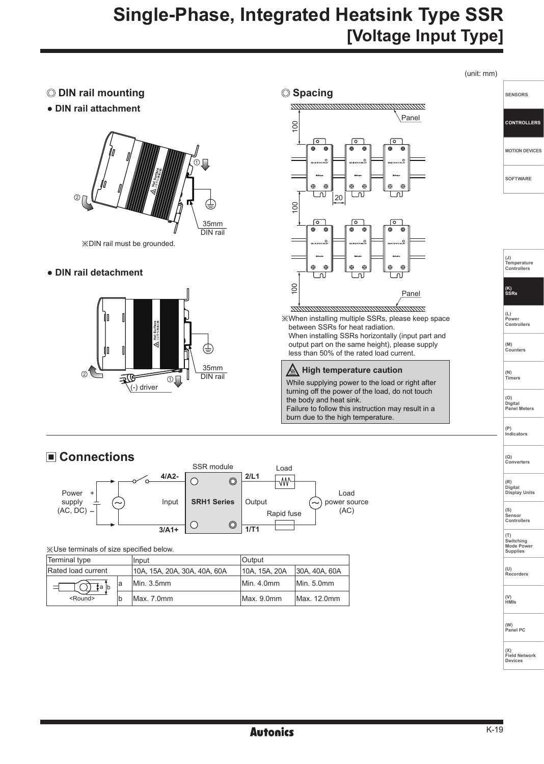# **Single-Phase, Integrated Heatsink Type SSR [Voltage Input Type]**



※Use terminals of size specified below.

| Terminal type      |    | Input                        | <b>Output</b> |               |
|--------------------|----|------------------------------|---------------|---------------|
| Rated load current |    | 10A. 15A. 20A. 30A. 40A. 60A | 10A, 15A, 20A | 30A, 40A, 60A |
| Ta b               | la | Min. 3.5mm                   | Min. 4.0mm    | Min. 5.0mm    |
| $<$ Round $>$      | b  | Max. 7.0mm                   | Max. 9.0mm    | Max. 12.0mm   |

**(T) Switching Mode Power Supplies** 

**(U) Recorders**

**(V) HMIs**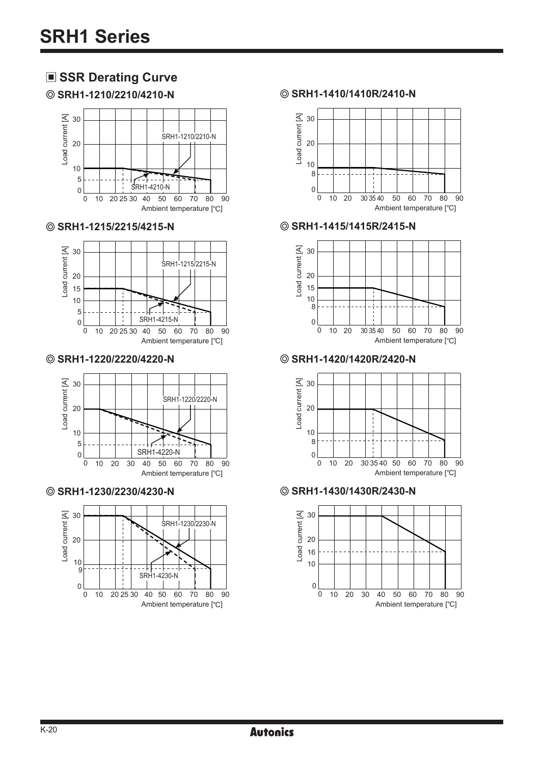# **SSR Derating Curve**



**SRH1-1215/2215/4215-N**



#### **SRH1-1220/2220/4220-N**



**SRH1-1230/2230/4230-N**



#### **SRH1-1210/2210/4210-N SRH1-1410/1410R/2410-N**



#### **SRH1-1415/1415R/2415-N**



**SRH1-1420/1420R/2420-N**



**SRH1-1430/1430R/2430-N**

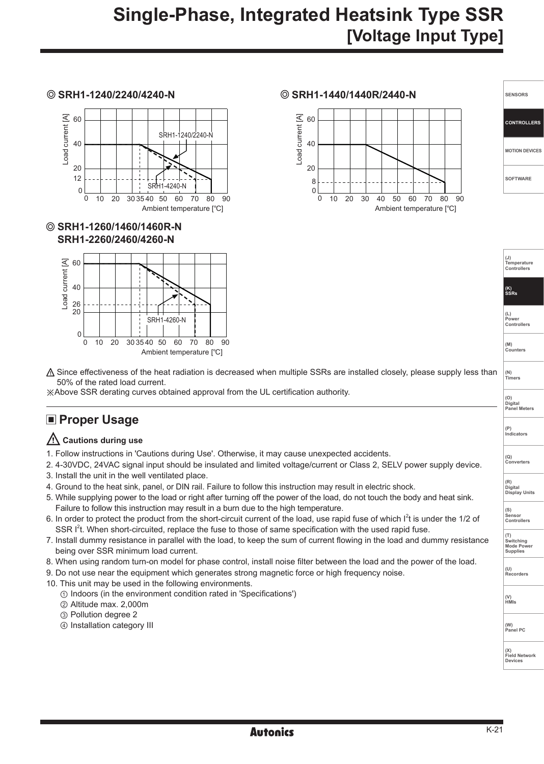

**SRH1-1260/1460/1460R-N SRH1-2260/2460/4260-N**

50% of the rated load current.

3. Install the unit in the well ventilated place.

being over SSR minimum load current.

**Proper Usage** 

**Cautions during use**



**SRH1-1240/2240/4240-N SRH1-1440/1440R/2440-N**



| <b>SENSORS</b>        |
|-----------------------|
| <b>CONTROLLERS</b>    |
| <b>MOTION DEVICES</b> |
| <b>SOFTWARE</b>       |
|                       |

- **(J) Temperature Controllers (K) SSRs (L) Power Controllers (M) Counters (N) Timers (O) Digital Panel Meters (P) Indicators (Q) Converters (R) Digital Display Units (S) Sensor Controllers (T) Switching Mode Power Supplies (U) Recorders (V) HMIs**  $\triangle$  Since effectiveness of the heat radiation is decreased when multiple SSRs are installed closely, please supply less than
- 8. When using random turn-on model for phase control, install noise filter between the load and the power of the load.

2. 4-30VDC, 24VAC signal input should be insulated and limited voltage/current or Class 2, SELV power supply device.

5. While supplying power to the load or right after turning off the power of the load, do not touch the body and heat sink.

6. In order to protect the product from the short-circuit current of the load, use rapid fuse of which I<sup>2</sup>t is under the 1/2 of

7. Install dummy resistance in parallel with the load, to keep the sum of current flowing in the load and dummy resistance

9. Do not use near the equipment which generates strong magnetic force or high frequency noise.

1. Follow instructions in 'Cautions during Use'. Otherwise, it may cause unexpected accidents.

4. Ground to the heat sink, panel, or DIN rail. Failure to follow this instruction may result in electric shock.

SSR I<sup>2</sup>t. When short-circuited, replace the fuse to those of same specification with the used rapid fuse.

- 10. This unit may be used in the following environments.
	- ① Indoors (in the environment condition rated in 'Specifications')

※Above SSR derating curves obtained approval from the UL certification authority.

Failure to follow this instruction may result in a burn due to the high temperature.

- ② Altitude max. 2,000m
- ③ Pollution degree 2
- ④ Installation category III

**(W) Panel PC**

**(X) Field Network Devices**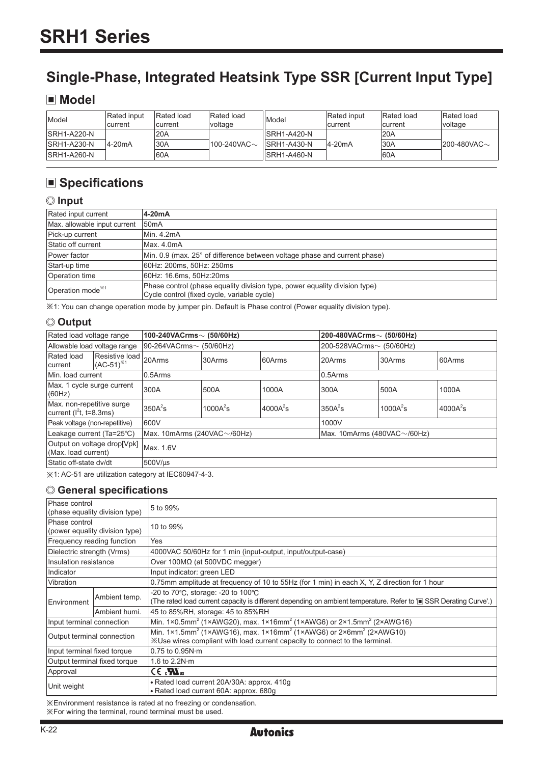# **Single-Phase, Integrated Heatsink Type SSR [Current Input Type]**

## **Model**

| Model               | <b>Rated</b> input<br>lcurrent | Rated load<br>lcurrent | Rated load<br>voltage   | Model                | Rated input<br>current | Rated load<br>current | Rated load<br>voltage   |
|---------------------|--------------------------------|------------------------|-------------------------|----------------------|------------------------|-----------------------|-------------------------|
| <b>ISRH1-A220-N</b> |                                | 20A                    |                         | llSRH1-A420-N        |                        | <b>20A</b>            |                         |
| <b>ISRH1-A230-N</b> | $4-20mA$                       | 30A                    | $1100 - 240$ VAC $\sim$ | <b>IISRH1-A430-N</b> | 4-20mA                 | 30A                   | $1200 - 480$ VAC $\sim$ |
| <b>ISRH1-A260-N</b> |                                | 60A                    |                         | IISRH1-A460-N        |                        | 60A                   |                         |

# **Specifications**

## **Input**

| Rated input current           | 4-20mA                                                                                                                    |
|-------------------------------|---------------------------------------------------------------------------------------------------------------------------|
| Max. allowable input current  | 50 <sub>m</sub> A                                                                                                         |
| Pick-up current               | Min. 4.2mA                                                                                                                |
| Static off current            | Max. 4.0mA                                                                                                                |
| Power factor                  | Min, 0.9 (max, 25° of difference between voltage phase and current phase)                                                 |
| Start-up time                 | 60Hz: 200ms, 50Hz: 250ms                                                                                                  |
| Operation time                | 60Hz: 16.6ms, 50Hz:20ms                                                                                                   |
| Operation mode <sup>**1</sup> | Phase control (phase equality division type, power equality division type)<br>Cycle control (fixed cycle, variable cycle) |

※1: You can change operation mode by jumper pin. Default is Phase control (Power equality division type).

## **Output**

|                                                                  | Rated load voltage range<br>100-240VACrms $\sim$ (50/60Hz)      |                         |              |             | 200-480VACrms $\sim$ (50/60Hz)     |              |            |  |
|------------------------------------------------------------------|-----------------------------------------------------------------|-------------------------|--------------|-------------|------------------------------------|--------------|------------|--|
| Allowable load voltage range                                     |                                                                 | 90-264VACrms∼ (50/60Hz) |              |             | 200-528VACrms~ (50/60Hz)           |              |            |  |
| Rated load<br>current                                            | Resistive load<br>$(AC-51)^{*1}$                                | 20Arms                  | 30Arms       | 60Arms      | 20Arms                             | 30Arms       | 60Arms     |  |
| Min. load current                                                |                                                                 | $0.5$ Arms              |              |             | 0.5Arms                            |              |            |  |
| Max. 1 cycle surge current<br>(60Hz)                             |                                                                 | 300A                    | 500A         | 1000A       | 300A                               | 500A         | 1000A      |  |
| Max. non-repetitive surge<br>current (I <sup>2</sup> t, t=8.3ms) |                                                                 | 350A <sup>2</sup> s     | 1000 $A^2$ s | $4000A^2$ s | $350A^2$ s                         | 1000 $A^2$ s | $4000A^2s$ |  |
| Peak voltage (non-repetitive)                                    |                                                                 | 600V                    |              |             | 1000V                              |              |            |  |
|                                                                  | Leakage current (Ta=25°C)<br>Max. 10mArms (240VAC $\sim$ /60Hz) |                         |              |             | Max. 10mArms (480VAC $\sim$ /60Hz) |              |            |  |
| Output on voltage drop[Vpk]<br>Max. 1.6V<br>(Max. load current)  |                                                                 |                         |              |             |                                    |              |            |  |
| Static off-state dv/dt                                           |                                                                 | $500$ V/ $\mu$ s        |              |             |                                    |              |            |  |

※1: AC-51 are utilization category at IEC60947-4-3.

### **General specifications**

| Phase control<br>(phase equality division type) |                                | 5 to 99%                                                                                                                                                                              |  |  |  |  |
|-------------------------------------------------|--------------------------------|---------------------------------------------------------------------------------------------------------------------------------------------------------------------------------------|--|--|--|--|
| Phase control                                   | (power equality division type) | 10 to 99%                                                                                                                                                                             |  |  |  |  |
| Frequency reading function                      |                                | Yes                                                                                                                                                                                   |  |  |  |  |
| Dielectric strength (Vrms)                      |                                | 4000VAC 50/60Hz for 1 min (input-output, input/output-case)                                                                                                                           |  |  |  |  |
| Insulation resistance                           |                                | Over $100M\Omega$ (at 500VDC megger)                                                                                                                                                  |  |  |  |  |
| Indicator                                       |                                | Input indicator: green LED                                                                                                                                                            |  |  |  |  |
| <b>Vibration</b>                                |                                | 0.75mm amplitude at frequency of 10 to 55Hz (for 1 min) in each X, Y, Z direction for 1 hour                                                                                          |  |  |  |  |
| Ambient temp.<br>Environment                    |                                | -20 to $70^{\circ}$ C, storage: -20 to $100^{\circ}$ C<br>(The rated load current capacity is different depending on ambient temperature. Refer to 'I SSR Derating Curve'.)           |  |  |  |  |
|                                                 | Ambient humi.                  | 45 to 85%RH, storage: 45 to 85%RH                                                                                                                                                     |  |  |  |  |
| Input terminal connection                       |                                | Min. $1 \times 0.5$ mm <sup>2</sup> (1×AWG20), max. $1 \times 16$ mm <sup>2</sup> (1×AWG6) or $2 \times 1.5$ mm <sup>2</sup> (2×AWG16)                                                |  |  |  |  |
| Output terminal connection                      |                                | Min. 1×1.5mm <sup>2</sup> (1×AWG16), max. 1×16mm <sup>2</sup> (1×AWG6) or 2×6mm <sup>2</sup> (2×AWG10)<br>XUse wires compliant with load current capacity to connect to the terminal. |  |  |  |  |
| Input terminal fixed torque                     |                                | $0.75$ to $0.95N·m$                                                                                                                                                                   |  |  |  |  |
| Output terminal fixed torque                    |                                | 1.6 to $2.2N·m$                                                                                                                                                                       |  |  |  |  |
| Approval                                        |                                | $CE_{\alpha}$ $\mathbf{W}_{\text{us}}$                                                                                                                                                |  |  |  |  |
| Unit weight                                     |                                | • Rated load current 20A/30A: approx. 410q<br>• Rated load current 60A: approx. 680q                                                                                                  |  |  |  |  |

※Environment resistance is rated at no freezing or condensation. ※For wiring the terminal, round terminal must be used.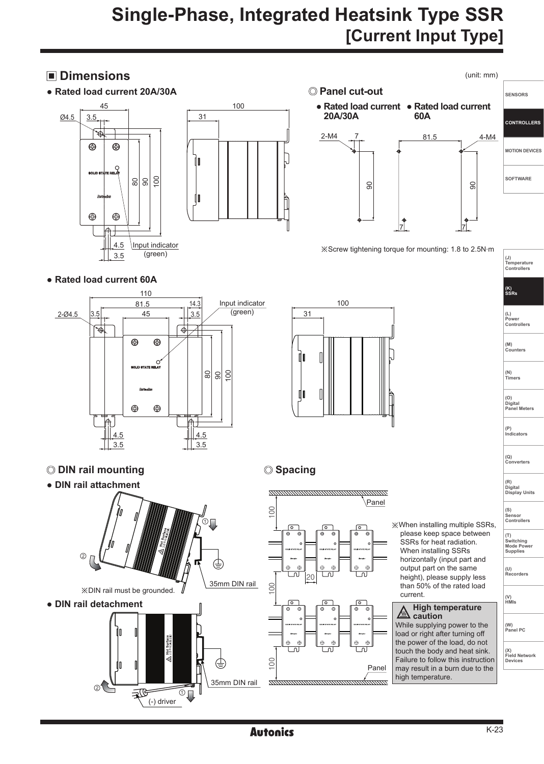# **Single-Phase, Integrated Heatsink Type SSR [Current Input Type]**

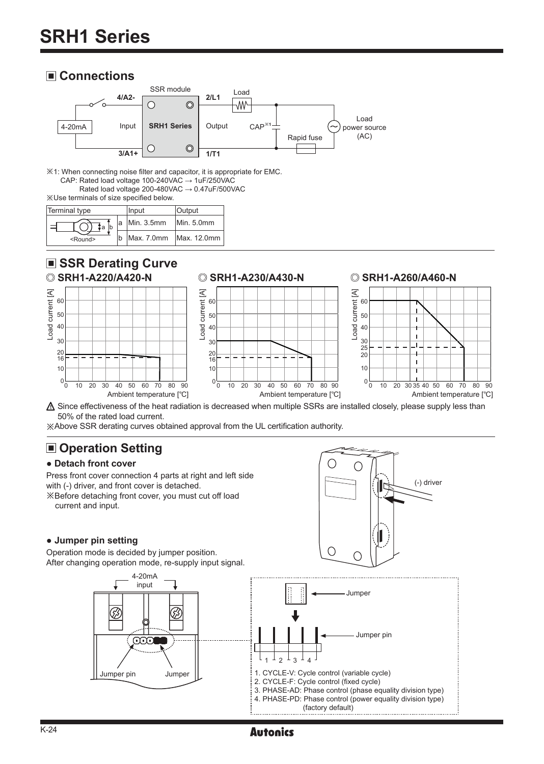## **Connections**



※1: When connecting noise filter and capacitor, it is appropriate for EMC. CAP: Rated load voltage 100-240VAC → 1uF/250VAC Rated load voltage 200-480VAC → 0.47uF/500VAC

※Use terminals of size specified below.

| Terminal type   | Input                  | <b>Output</b> |
|-----------------|------------------------|---------------|
| ≹aີ             | $a$ Min. 3.5mm         | Min. 5.0mm    |
| <round></round> | Max. 7.0mm Max. 12.0mm |               |

## ■ **SSR Derating Curve**



 $\triangle$  Since effectiveness of the heat radiation is decreased when multiple SSRs are installed closely, please supply less than 50% of the rated load current.

※Above SSR derating curves obtained approval from the UL certification authority.

# **Operation Setting**

### **● Detach front cover**

Press front cover connection 4 parts at right and left side with (-) driver, and front cover is detached.

※Before detaching front cover, you must cut off load current and input.

### **● Jumper pin setting**

Operation mode is decided by jumper position. After changing operation mode, re-supply input signal.





## K-24 **Autonics Autonics Example 19**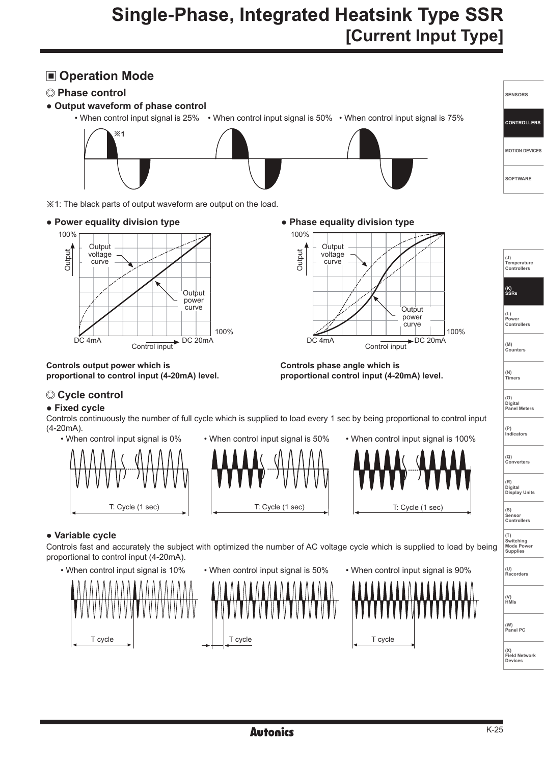# **Single-Phase, Integrated Heatsink Type SSR [Current Input Type]**